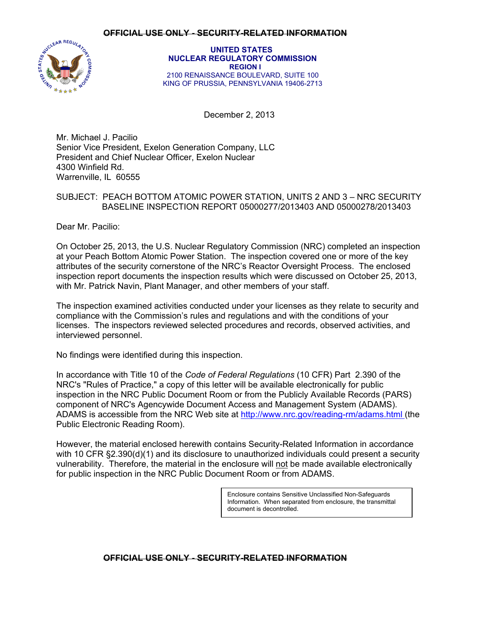

 **UNITED STATES NUCLEAR REGULATORY COMMISSION REGION I**  2100 RENAISSANCE BOULEVARD, SUITE 100 KING OF PRUSSIA, PENNSYLVANIA 19406-2713

December 2, 2013

Mr. Michael J. Pacilio Senior Vice President, Exelon Generation Company, LLC President and Chief Nuclear Officer, Exelon Nuclear 4300 Winfield Rd. Warrenville, IL 60555

### SUBJECT: PEACH BOTTOM ATOMIC POWER STATION, UNITS 2 AND 3 – NRC SECURITY BASELINE INSPECTION REPORT 05000277/2013403 AND 05000278/2013403

Dear Mr. Pacilio:

On October 25, 2013, the U.S. Nuclear Regulatory Commission (NRC) completed an inspection at your Peach Bottom Atomic Power Station. The inspection covered one or more of the key attributes of the security cornerstone of the NRC's Reactor Oversight Process. The enclosed inspection report documents the inspection results which were discussed on October 25, 2013, with Mr. Patrick Navin, Plant Manager, and other members of your staff.

The inspection examined activities conducted under your licenses as they relate to security and compliance with the Commission's rules and regulations and with the conditions of your licenses. The inspectors reviewed selected procedures and records, observed activities, and interviewed personnel.

No findings were identified during this inspection.

In accordance with Title 10 of the *Code of Federal Regulations* (10 CFR) Part 2.390 of the NRC's "Rules of Practice," a copy of this letter will be available electronically for public inspection in the NRC Public Document Room or from the Publicly Available Records (PARS) component of NRC's Agencywide Document Access and Management System (ADAMS). ADAMS is accessible from the NRC Web site at http://www.nrc.gov/reading-rm/adams.html (the Public Electronic Reading Room).

However, the material enclosed herewith contains Security-Related Information in accordance with 10 CFR §2.390(d)(1) and its disclosure to unauthorized individuals could present a security vulnerability. Therefore, the material in the enclosure will not be made available electronically for public inspection in the NRC Public Document Room or from ADAMS.

> Enclosure contains Sensitive Unclassified Non-Safeguards Information. When separated from enclosure, the transmittal document is decontrolled.

# **OFFICIAL USE ONLY - SECURITY-RELATED INFORMATION**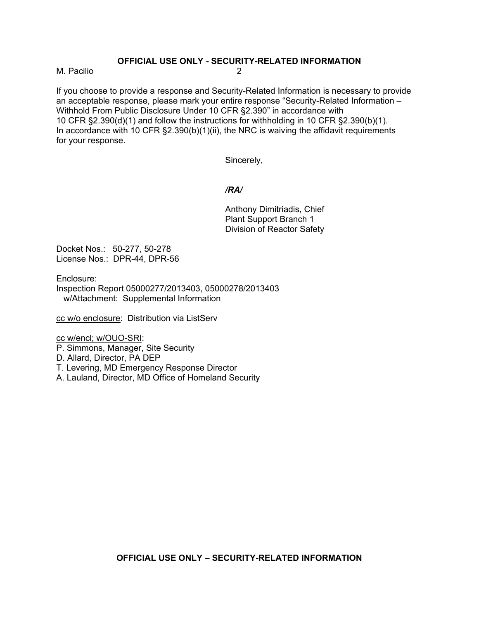M. Pacilio 2

If you choose to provide a response and Security-Related Information is necessary to provide an acceptable response, please mark your entire response "Security-Related Information – Withhold From Public Disclosure Under 10 CFR §2.390" in accordance with 10 CFR §2.390(d)(1) and follow the instructions for withholding in 10 CFR §2.390(b)(1). In accordance with 10 CFR  $\S 2.390(b)(1)(ii)$ , the NRC is waiving the affidavit requirements for your response.

Sincerely,

## */RA/*

Anthony Dimitriadis, Chief Plant Support Branch 1 Division of Reactor Safety

Docket Nos.: 50-277, 50-278 License Nos.: DPR-44, DPR-56

Enclosure:

Inspection Report 05000277/2013403, 05000278/2013403 w/Attachment: Supplemental Information

cc w/o enclosure: Distribution via ListServ

cc w/encl; w/OUO-SRI:

P. Simmons, Manager, Site Security

D. Allard, Director, PA DEP

T. Levering, MD Emergency Response Director

A. Lauland, Director, MD Office of Homeland Security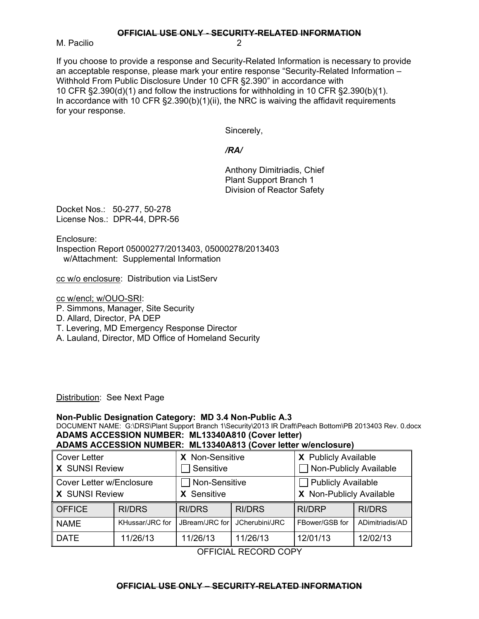M. Pacilio 2

If you choose to provide a response and Security-Related Information is necessary to provide an acceptable response, please mark your entire response "Security-Related Information – Withhold From Public Disclosure Under 10 CFR §2.390" in accordance with 10 CFR §2.390(d)(1) and follow the instructions for withholding in 10 CFR §2.390(b)(1). In accordance with 10 CFR §2.390(b)(1)(ii), the NRC is waiving the affidavit requirements for your response.

Sincerely,

*/RA/* 

Anthony Dimitriadis, Chief Plant Support Branch 1 Division of Reactor Safety

Docket Nos.: 50-277, 50-278 License Nos.: DPR-44, DPR-56

Enclosure:

Inspection Report 05000277/2013403, 05000278/2013403 w/Attachment: Supplemental Information

cc w/o enclosure: Distribution via ListServ

cc w/encl; w/OUO-SRI:

- P. Simmons, Manager, Site Security
- D. Allard, Director, PA DEP
- T. Levering, MD Emergency Response Director
- A. Lauland, Director, MD Office of Homeland Security

Distribution: See Next Page

# **Non-Public Designation Category: MD 3.4 Non-Public A.3**

DOCUMENT NAME: G:\DRS\Plant Support Branch 1\Security\2013 IR Draft\Peach Bottom\PB 2013403 Rev. 0.docx **ADAMS ACCESSION NUMBER: ML13340A810 (Cover letter)** 

**ADAMS ACCESSION NUMBER: ML13340A813 (Cover letter w/enclosure)**

| <b>Cover Letter</b><br><b>X</b> SUNSI Review      |                 | X Non-Sensitive<br>Sensitive |                | X Publicly Available<br>Non-Publicly Available |                 |
|---------------------------------------------------|-----------------|------------------------------|----------------|------------------------------------------------|-----------------|
| Cover Letter w/Enclosure<br><b>X</b> SUNSI Review |                 | Non-Sensitive<br>X Sensitive |                | Publicly Available<br>X Non-Publicly Available |                 |
| <b>OFFICE</b>                                     | <b>RI/DRS</b>   | <b>RI/DRS</b>                | <b>RI/DRS</b>  | <b>RI/DRP</b>                                  | <b>RI/DRS</b>   |
| <b>NAME</b>                                       | KHussar/JRC for | JBream/JRC for               | JCherubini/JRC | FBower/GSB for                                 | ADimitriadis/AD |
| <b>DATE</b>                                       | 11/26/13        | 11/26/13                     | 11/26/13       | 12/01/13                                       | 12/02/13        |

OFFICIAL RECORD COPY

# **OFFICIAL USE ONLY – SECURITY-RELATED INFORMATION**